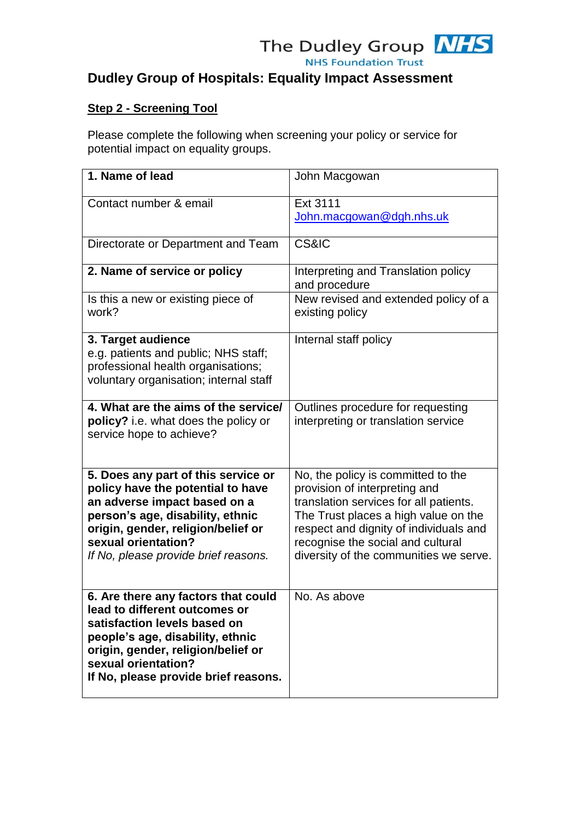

## **Step 2 - Screening Tool**

Please complete the following when screening your policy or service for potential impact on equality groups.

| 1. Name of lead                                                                                                                                                                                                                                   | John Macgowan                                                                                                                                                                                                                                                                  |
|---------------------------------------------------------------------------------------------------------------------------------------------------------------------------------------------------------------------------------------------------|--------------------------------------------------------------------------------------------------------------------------------------------------------------------------------------------------------------------------------------------------------------------------------|
| Contact number & email                                                                                                                                                                                                                            | Ext 3111<br>John.macgowan@dgh.nhs.uk                                                                                                                                                                                                                                           |
| Directorate or Department and Team                                                                                                                                                                                                                | <b>CS&amp;IC</b>                                                                                                                                                                                                                                                               |
| 2. Name of service or policy                                                                                                                                                                                                                      | Interpreting and Translation policy<br>and procedure                                                                                                                                                                                                                           |
| Is this a new or existing piece of<br>work?                                                                                                                                                                                                       | New revised and extended policy of a<br>existing policy                                                                                                                                                                                                                        |
| 3. Target audience<br>e.g. patients and public; NHS staff;<br>professional health organisations;<br>voluntary organisation; internal staff                                                                                                        | Internal staff policy                                                                                                                                                                                                                                                          |
| 4. What are the aims of the service/<br>policy? i.e. what does the policy or<br>service hope to achieve?                                                                                                                                          | Outlines procedure for requesting<br>interpreting or translation service                                                                                                                                                                                                       |
| 5. Does any part of this service or<br>policy have the potential to have<br>an adverse impact based on a<br>person's age, disability, ethnic<br>origin, gender, religion/belief or<br>sexual orientation?<br>If No, please provide brief reasons. | No, the policy is committed to the<br>provision of interpreting and<br>translation services for all patients.<br>The Trust places a high value on the<br>respect and dignity of individuals and<br>recognise the social and cultural<br>diversity of the communities we serve. |
| 6. Are there any factors that could<br>lead to different outcomes or<br>satisfaction levels based on<br>people's age, disability, ethnic<br>origin, gender, religion/belief or<br>sexual orientation?<br>If No, please provide brief reasons.     | No. As above                                                                                                                                                                                                                                                                   |